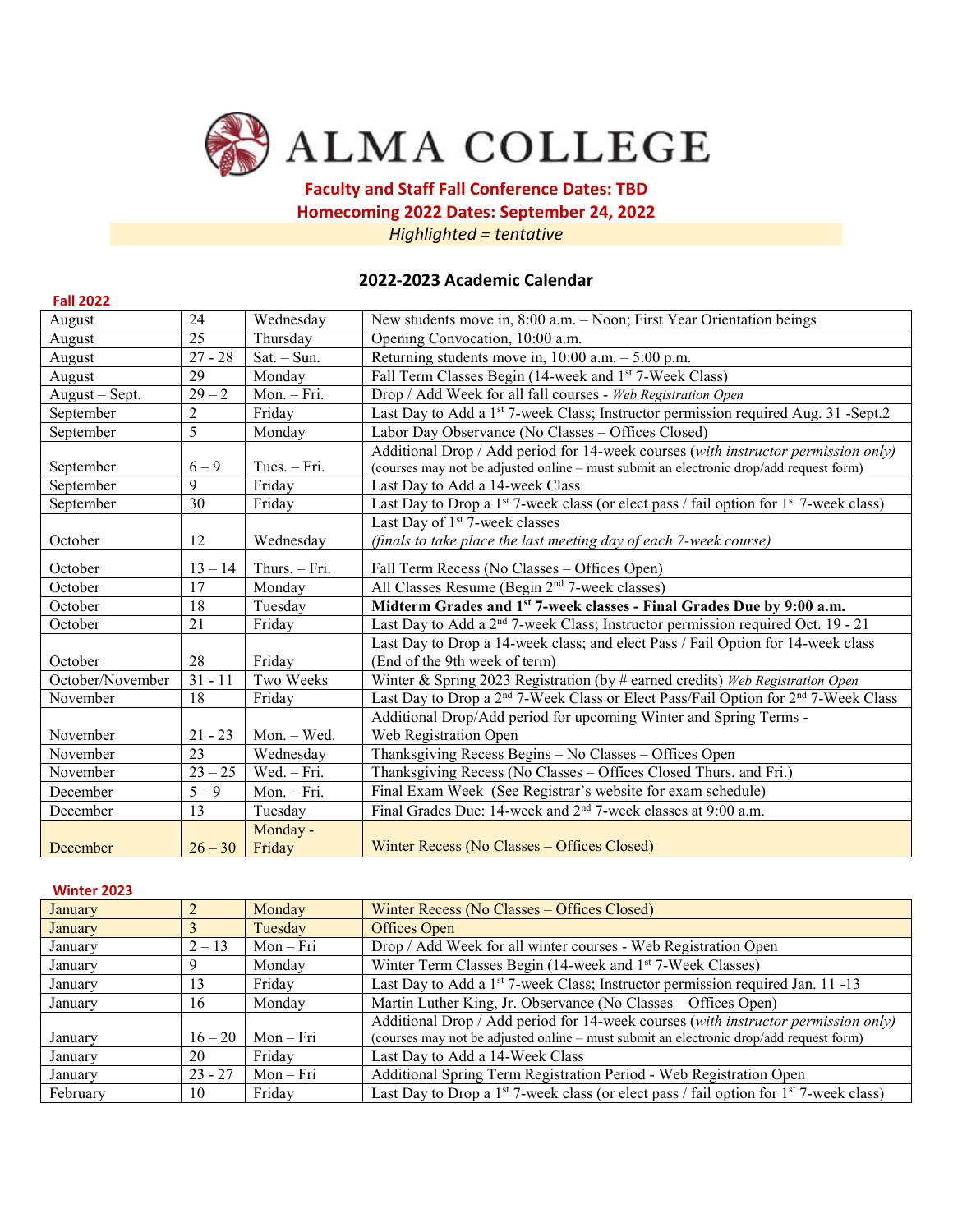

# **Faculty and Staff Fall Conference Dates: TBD Homecoming 2022 Dates: September 24, 2022**

*Highlighted = tentative* 

# **2022-2023 Academic Calendar**

| <b>Fall 2022</b> |                |                    |                                                                                                                                                                              |  |  |  |  |  |  |
|------------------|----------------|--------------------|------------------------------------------------------------------------------------------------------------------------------------------------------------------------------|--|--|--|--|--|--|
| August           | 24             | Wednesday          | New students move in, 8:00 a.m. - Noon; First Year Orientation beings                                                                                                        |  |  |  |  |  |  |
| August           | 25             | Thursday           | Opening Convocation, 10:00 a.m.                                                                                                                                              |  |  |  |  |  |  |
| August           | $27 - 28$      | $Sat. - Sun.$      | Returning students move in, $10:00$ a.m. $-5:00$ p.m.                                                                                                                        |  |  |  |  |  |  |
| August           | 29             | Monday             | Fall Term Classes Begin (14-week and 1 <sup>st</sup> 7-Week Class)                                                                                                           |  |  |  |  |  |  |
| August - Sept.   | $29 - 2$       | Mon. - Fri.        | Drop / Add Week for all fall courses - Web Registration Open                                                                                                                 |  |  |  |  |  |  |
| September        | $\overline{2}$ | Friday             | Last Day to Add a 1 <sup>st</sup> 7-week Class; Instructor permission required Aug. 31 -Sept.2                                                                               |  |  |  |  |  |  |
| September        | 5              | Monday             | Labor Day Observance (No Classes - Offices Closed)                                                                                                                           |  |  |  |  |  |  |
| September        | $6 - 9$        | Tues. $-$ Fri.     | Additional Drop / Add period for 14-week courses (with instructor permission only)<br>(courses may not be adjusted online - must submit an electronic drop/add request form) |  |  |  |  |  |  |
| September        | 9              | Friday             | Last Day to Add a 14-week Class                                                                                                                                              |  |  |  |  |  |  |
| September        | 30             | Friday             | Last Day to Drop a 1 <sup>st</sup> 7-week class (or elect pass / fail option for 1 <sup>st</sup> 7-week class)                                                               |  |  |  |  |  |  |
|                  |                |                    | Last Day of 1 <sup>st</sup> 7-week classes                                                                                                                                   |  |  |  |  |  |  |
| October          | 12             | Wednesday          | (finals to take place the last meeting day of each 7-week course)                                                                                                            |  |  |  |  |  |  |
| October          | $13 - 14$      | Thurs. - Fri.      | Fall Term Recess (No Classes - Offices Open)                                                                                                                                 |  |  |  |  |  |  |
| October          | 17             | Monday             | All Classes Resume (Begin 2 <sup>nd</sup> 7-week classes)                                                                                                                    |  |  |  |  |  |  |
| October          | 18             | Tuesday            | Midterm Grades and 1st 7-week classes - Final Grades Due by 9:00 a.m.                                                                                                        |  |  |  |  |  |  |
| October          | 21             | Friday             | Last Day to Add a 2 <sup>nd</sup> 7-week Class; Instructor permission required Oct. 19 - 21                                                                                  |  |  |  |  |  |  |
|                  |                |                    | Last Day to Drop a 14-week class; and elect Pass / Fail Option for 14-week class                                                                                             |  |  |  |  |  |  |
| October          | 28             | Friday             | (End of the 9th week of term)                                                                                                                                                |  |  |  |  |  |  |
| October/November | $31 - 11$      | Two Weeks          | Winter & Spring 2023 Registration (by # earned credits) Web Registration Open                                                                                                |  |  |  |  |  |  |
| November         | 18             | Friday             | Last Day to Drop a 2 <sup>nd</sup> 7-Week Class or Elect Pass/Fail Option for 2 <sup>nd</sup> 7-Week Class                                                                   |  |  |  |  |  |  |
|                  |                |                    | Additional Drop/Add period for upcoming Winter and Spring Terms -                                                                                                            |  |  |  |  |  |  |
| November         | $21 - 23$      | Mon. - Wed.        | Web Registration Open                                                                                                                                                        |  |  |  |  |  |  |
| November         | 23             | Wednesday          | Thanksgiving Recess Begins - No Classes - Offices Open                                                                                                                       |  |  |  |  |  |  |
| November         | $23 - 25$      | Wed. - Fri.        | Thanksgiving Recess (No Classes - Offices Closed Thurs. and Fri.)                                                                                                            |  |  |  |  |  |  |
| December         | $5 - 9$        | Mon. - Fri.        | Final Exam Week (See Registrar's website for exam schedule)                                                                                                                  |  |  |  |  |  |  |
| December         | 13             | Tuesday            | Final Grades Due: 14-week and 2 <sup>nd</sup> 7-week classes at 9:00 a.m.                                                                                                    |  |  |  |  |  |  |
| December         | $26 - 30$      | Monday -<br>Friday | Winter Recess (No Classes - Offices Closed)                                                                                                                                  |  |  |  |  |  |  |

#### **Winter 2023**

| January  |           | Monday    | Winter Recess (No Classes – Offices Closed)                                                                    |  |  |  |  |  |
|----------|-----------|-----------|----------------------------------------------------------------------------------------------------------------|--|--|--|--|--|
| January  |           | Tuesday   | Offices Open                                                                                                   |  |  |  |  |  |
| January  | $2 - 13$  | $Mon-Fri$ | Drop / Add Week for all winter courses - Web Registration Open                                                 |  |  |  |  |  |
| January  |           | Monday    | Winter Term Classes Begin (14-week and 1 <sup>st</sup> 7-Week Classes)                                         |  |  |  |  |  |
| January  | 13        | Friday    | Last Day to Add a 1 <sup>st</sup> 7-week Class; Instructor permission required Jan. 11 -13                     |  |  |  |  |  |
| January  | 16        | Monday    | Martin Luther King, Jr. Observance (No Classes – Offices Open)                                                 |  |  |  |  |  |
|          |           |           | Additional Drop / Add period for 14-week courses (with instructor permission only)                             |  |  |  |  |  |
| January  | $16 - 20$ | $Mon-Fri$ | (courses may not be adjusted online – must submit an electronic drop/add request form)                         |  |  |  |  |  |
| January  | 20        | Friday    | Last Day to Add a 14-Week Class                                                                                |  |  |  |  |  |
| January  | $23 - 27$ | Mon – Fri | Additional Spring Term Registration Period - Web Registration Open                                             |  |  |  |  |  |
| February | 10        | Friday    | Last Day to Drop a 1 <sup>st</sup> 7-week class (or elect pass / fail option for 1 <sup>st</sup> 7-week class) |  |  |  |  |  |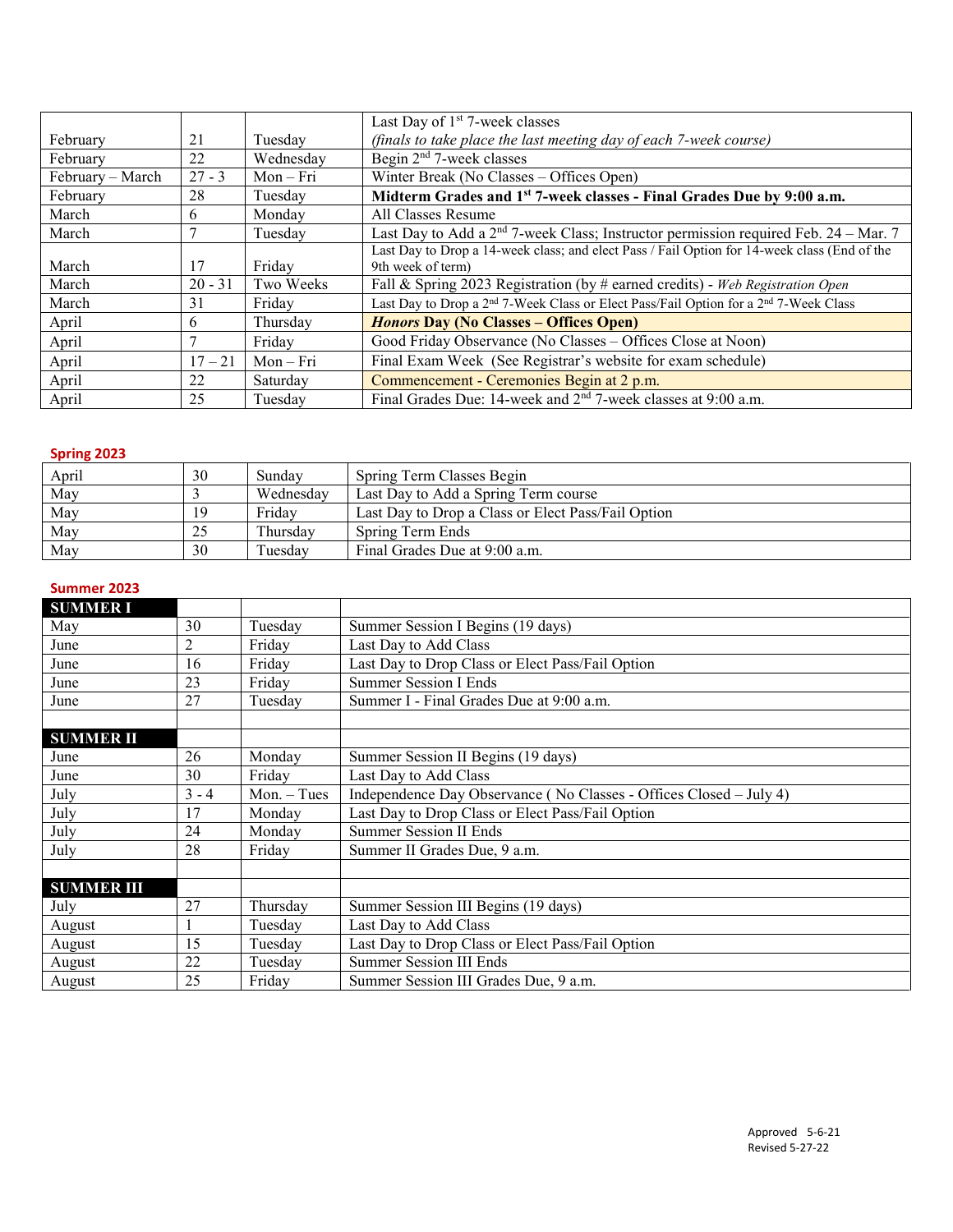|                  |           |           | Last Day of 1 <sup>st</sup> 7-week classes                                                                   |  |  |  |  |  |  |
|------------------|-----------|-----------|--------------------------------------------------------------------------------------------------------------|--|--|--|--|--|--|
| February         | 21        | Tuesday   | (finals to take place the last meeting day of each 7-week course)                                            |  |  |  |  |  |  |
| February         | 22        | Wednesday | Begin 2 <sup>nd</sup> 7-week classes                                                                         |  |  |  |  |  |  |
| February – March | $27 - 3$  | $Mon-Fri$ | Winter Break (No Classes – Offices Open)                                                                     |  |  |  |  |  |  |
| February         | 28        | Tuesdav   | Midterm Grades and 1 <sup>st</sup> 7-week classes - Final Grades Due by 9:00 a.m.                            |  |  |  |  |  |  |
| March            | 6         | Monday    | All Classes Resume                                                                                           |  |  |  |  |  |  |
| March            |           | Tuesday   | Last Day to Add a $2nd$ 7-week Class; Instructor permission required Feb. 24 – Mar. 7                        |  |  |  |  |  |  |
|                  |           |           | Last Day to Drop a 14-week class; and elect Pass / Fail Option for 14-week class (End of the                 |  |  |  |  |  |  |
| March            | 17        | Friday    | 9th week of term)                                                                                            |  |  |  |  |  |  |
| March            | $20 - 31$ | Two Weeks | Fall & Spring 2023 Registration (by # earned credits) - Web Registration Open                                |  |  |  |  |  |  |
| March            | 31        | Fridav    | Last Day to Drop a 2 <sup>nd</sup> 7-Week Class or Elect Pass/Fail Option for a 2 <sup>nd</sup> 7-Week Class |  |  |  |  |  |  |
| April            | 6         | Thursday  | <b>Honors Day (No Classes – Offices Open)</b>                                                                |  |  |  |  |  |  |
| April            |           | Friday    | Good Friday Observance (No Classes - Offices Close at Noon)                                                  |  |  |  |  |  |  |
| April            | $17 - 21$ | $Mon-Fri$ | Final Exam Week (See Registrar's website for exam schedule)                                                  |  |  |  |  |  |  |
| April            | 22        | Saturday  | Commencement - Ceremonies Begin at 2 p.m.                                                                    |  |  |  |  |  |  |
| April            | 25        | Tuesday   | Final Grades Due: 14-week and 2 <sup>nd</sup> 7-week classes at 9:00 a.m.                                    |  |  |  |  |  |  |

## **Spring 2023**

| April | 30 | Sunday    | Spring Term Classes Begin                          |
|-------|----|-----------|----------------------------------------------------|
| May   |    | Wednesday | Last Day to Add a Spring Term course               |
| May   | 19 | Fridav    | Last Day to Drop a Class or Elect Pass/Fail Option |
| May   |    | Thursdav  | Spring Term Ends                                   |
| May   | 30 | Tuesdav   | Final Grades Due at 9:00 a.m.                      |

### **Summer 2023**

| <b>SUMMER I</b>   |         |               |                                                                    |  |  |  |  |  |  |  |
|-------------------|---------|---------------|--------------------------------------------------------------------|--|--|--|--|--|--|--|
| May               | 30      | Tuesday       | Summer Session I Begins (19 days)                                  |  |  |  |  |  |  |  |
| June              | 2       | Friday        | Last Day to Add Class                                              |  |  |  |  |  |  |  |
| June              | 16      | Friday        | Last Day to Drop Class or Elect Pass/Fail Option                   |  |  |  |  |  |  |  |
| June              | 23      | Friday        | <b>Summer Session I Ends</b>                                       |  |  |  |  |  |  |  |
| June              | 27      | Tuesday       | Summer I - Final Grades Due at 9:00 a.m.                           |  |  |  |  |  |  |  |
|                   |         |               |                                                                    |  |  |  |  |  |  |  |
| <b>SUMMER II</b>  |         |               |                                                                    |  |  |  |  |  |  |  |
| June              | 26      | Monday        | Summer Session II Begins (19 days)                                 |  |  |  |  |  |  |  |
| June              | 30      | Friday        | Last Day to Add Class                                              |  |  |  |  |  |  |  |
| July              | $3 - 4$ | $Mon. - Tues$ | Independence Day Observance (No Classes - Offices Closed – July 4) |  |  |  |  |  |  |  |
| July              | 17      | Monday        | Last Day to Drop Class or Elect Pass/Fail Option                   |  |  |  |  |  |  |  |
| July              | 24      | Monday        | <b>Summer Session II Ends</b>                                      |  |  |  |  |  |  |  |
| July              | 28      | Friday        | Summer II Grades Due, 9 a.m.                                       |  |  |  |  |  |  |  |
|                   |         |               |                                                                    |  |  |  |  |  |  |  |
| <b>SUMMER III</b> |         |               |                                                                    |  |  |  |  |  |  |  |
| July              | 27      | Thursday      | Summer Session III Begins (19 days)                                |  |  |  |  |  |  |  |
| August            |         | Tuesday       | Last Day to Add Class                                              |  |  |  |  |  |  |  |
| August            | 15      | Tuesday       | Last Day to Drop Class or Elect Pass/Fail Option                   |  |  |  |  |  |  |  |
| August            | 22      | Tuesday       | <b>Summer Session III Ends</b>                                     |  |  |  |  |  |  |  |
| August            | 25      | Friday        | Summer Session III Grades Due, 9 a.m.                              |  |  |  |  |  |  |  |
|                   |         |               |                                                                    |  |  |  |  |  |  |  |